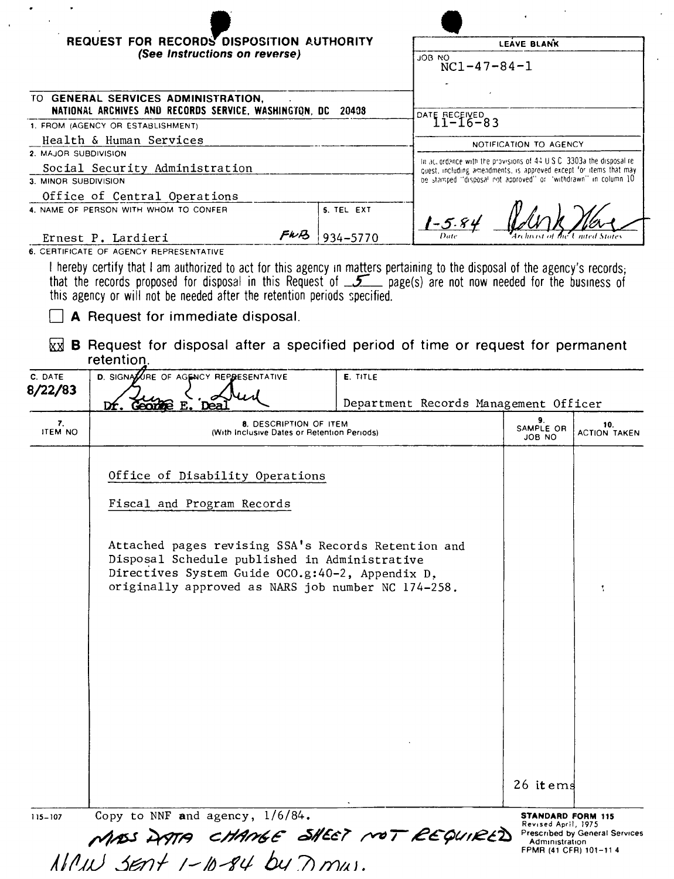| (See Instructions on reverse)<br>OM ROL<br>NATIONAL ARCHIVES AND RECORDS SERVICE, WASHINGTON, DC 20408<br>Health & Human Services<br>Social Security Administration<br>Office of Central Operations<br>5. TEL EXT<br>FWB<br>934-5770<br>Ernest P. Lardieri<br>I hereby certify that I am authorized to act for this agency in matters pertaining to the disposal of the agency's records;<br>that the records proposed for disposal in this Request of 5 page(s) are not now needed for the business of<br>this agency or will not be needed after the retention periods specified.<br>A Request for immediate disposal.<br><b>B</b> Request for disposal after a specified period of time or request for permanent<br>kх<br>retention.<br>D. SIGNATURE OF AGENCY REPRESENTATIVE<br>E. TITLE<br>Dr. George<br>7.<br>8. DESCRIPTION OF ITEM<br><b>ITEM NO</b><br>(With Inclusive Dates or Retention Periods)<br>Office of Disability Operations<br>Fiscal and Program Records<br>Attached pages revising SSA's Records Retention and<br>Disposal Schedule published in Administrative<br>Directives System Guide OCO.g:40-2, Appendix D,<br>originally approved as NARS job number NC 174-258. | LEAVE BLANK                                                                                                                          |
|-----------------------------------------------------------------------------------------------------------------------------------------------------------------------------------------------------------------------------------------------------------------------------------------------------------------------------------------------------------------------------------------------------------------------------------------------------------------------------------------------------------------------------------------------------------------------------------------------------------------------------------------------------------------------------------------------------------------------------------------------------------------------------------------------------------------------------------------------------------------------------------------------------------------------------------------------------------------------------------------------------------------------------------------------------------------------------------------------------------------------------------------------------------------------------------------------|--------------------------------------------------------------------------------------------------------------------------------------|
| TO GENERAL SERVICES ADMINISTRATION,<br>1. FROM (AGENCY OR ESTABLISHMENT)<br>2. MAJOR SUBDIVISION<br>3. MINOR SUBDIVISION<br>4. NAME OF PERSON WITH WHOM TO CONFER<br>6. CERTIFICATE OF AGENCY REPRESENTATIVE<br>C. DATE<br>8/22/83                                                                                                                                                                                                                                                                                                                                                                                                                                                                                                                                                                                                                                                                                                                                                                                                                                                                                                                                                            | $NC1 - 47 - 84 - 1$                                                                                                                  |
|                                                                                                                                                                                                                                                                                                                                                                                                                                                                                                                                                                                                                                                                                                                                                                                                                                                                                                                                                                                                                                                                                                                                                                                               |                                                                                                                                      |
|                                                                                                                                                                                                                                                                                                                                                                                                                                                                                                                                                                                                                                                                                                                                                                                                                                                                                                                                                                                                                                                                                                                                                                                               | DATE RECEIVED<br>11-16-83                                                                                                            |
|                                                                                                                                                                                                                                                                                                                                                                                                                                                                                                                                                                                                                                                                                                                                                                                                                                                                                                                                                                                                                                                                                                                                                                                               | NOTIFICATION TO AGENCY                                                                                                               |
|                                                                                                                                                                                                                                                                                                                                                                                                                                                                                                                                                                                                                                                                                                                                                                                                                                                                                                                                                                                                                                                                                                                                                                                               | In accordance with the provisions of $44 \text{ U}$ S.C. 3303a the disposal re-                                                      |
|                                                                                                                                                                                                                                                                                                                                                                                                                                                                                                                                                                                                                                                                                                                                                                                                                                                                                                                                                                                                                                                                                                                                                                                               | quest, including amendments, is approved except for items that may<br>be stamped "disposal not approved" or "withdrawn" in column 10 |
|                                                                                                                                                                                                                                                                                                                                                                                                                                                                                                                                                                                                                                                                                                                                                                                                                                                                                                                                                                                                                                                                                                                                                                                               |                                                                                                                                      |
|                                                                                                                                                                                                                                                                                                                                                                                                                                                                                                                                                                                                                                                                                                                                                                                                                                                                                                                                                                                                                                                                                                                                                                                               |                                                                                                                                      |
|                                                                                                                                                                                                                                                                                                                                                                                                                                                                                                                                                                                                                                                                                                                                                                                                                                                                                                                                                                                                                                                                                                                                                                                               | $1 - 5.84$                                                                                                                           |
|                                                                                                                                                                                                                                                                                                                                                                                                                                                                                                                                                                                                                                                                                                                                                                                                                                                                                                                                                                                                                                                                                                                                                                                               |                                                                                                                                      |
|                                                                                                                                                                                                                                                                                                                                                                                                                                                                                                                                                                                                                                                                                                                                                                                                                                                                                                                                                                                                                                                                                                                                                                                               |                                                                                                                                      |
|                                                                                                                                                                                                                                                                                                                                                                                                                                                                                                                                                                                                                                                                                                                                                                                                                                                                                                                                                                                                                                                                                                                                                                                               |                                                                                                                                      |
|                                                                                                                                                                                                                                                                                                                                                                                                                                                                                                                                                                                                                                                                                                                                                                                                                                                                                                                                                                                                                                                                                                                                                                                               |                                                                                                                                      |
|                                                                                                                                                                                                                                                                                                                                                                                                                                                                                                                                                                                                                                                                                                                                                                                                                                                                                                                                                                                                                                                                                                                                                                                               | Department Records Management Officer                                                                                                |
|                                                                                                                                                                                                                                                                                                                                                                                                                                                                                                                                                                                                                                                                                                                                                                                                                                                                                                                                                                                                                                                                                                                                                                                               | 9.<br>10.<br>SAMPLE OR<br><b>ACTION TAKEN</b><br>JOB NO                                                                              |
| Copy to NNF and agency, 1/6/84.                                                                                                                                                                                                                                                                                                                                                                                                                                                                                                                                                                                                                                                                                                                                                                                                                                                                                                                                                                                                                                                                                                                                                               | Ť.<br>26 it ems                                                                                                                      |

 $\bar{\mathcal{A}}$ 

 $\mathbb{Z}^{\mathbb{Z}}$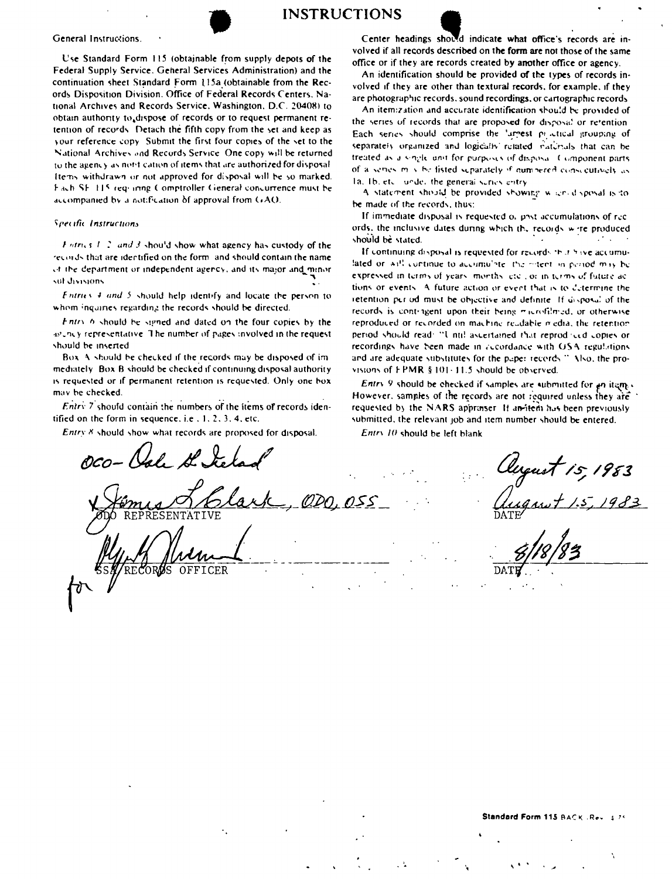

# **INSTRUCTIONS**



Use Standard Form 115 (obtainable from supply depots of the Federal Supply Service, General Services Administration) and the continuation sheet Standard Form 115a (obtainable from the Records Disposition Division. Office of Federal Records Centers, National Archives and Records Service, Washington, D.C. 20408) to obtain authority to dispose of records or to request permanent retention of records. Detach the fifth copy from the set and keep as your reference copy. Submit the first four copies of the set to the National Archives and Records Service. One copy will be returned to the agency as notification of items that are authorized for disposal Items withdrawn or not approved for disposal will be so marked. Fach SF 115 requiring Comptroller General concurrence must be accompanied by a notification of approval from GAO.

#### Specific Instructions

 $F$ ntrics  $T/2$  and  $T$  should show what agency has custody of the records that are identified on the form, and should contain the name of the department or independent agency, and its major and minor sul divisions

Entries 4 and 5 should help identify and locate the person to whom inquiries regarding the records should be directed.

Entry 6 should be signed and dated on the four copies by the an ency representative. The number of pages involved in the request should be inserted

Box A should be checked if the records may be disposed of immediately. Box B should be checked if continuing disposal authority is requested or if permanent retention is requested. Only one box may be checked.

 $Entrv$  7 should contain the numbers of the items of records identified on the form in sequence, i.e., 1, 2, 3, 4, etc.

Entry 8 should show what records are proposed for disposal.

Center headings showd indicate what office's records are involved if all records described on the form are not those of the same office or if they are records created by another office or agency.

An identification should be provided of the types of records involved if they are other than textural records, for example, if they are photographic records, sound recordings, or cartographic records

An itemization and accurate identification should be provided of the series of records that are proposed for disposal or refention Each series should comprise the 'argest proctical grouping of separately organized and logically retated riatinals that can be treated as a single unit for purposes of disposal. Component parts of a senies may be fisted suparately if numbered conscentively as Tal Tb, etc., under the general suries entry

A statement should be provided showing when disposal is to be made of the records, thus:

If immediate disposal is requested of post-accumulations of records, the inclusive dates during which the records wire produced should be stated.  $\mathcal{L}^{\text{max}}$  , and  $\mathcal{L}^{\text{max}}$ 

If continuing disposal is requested for records in it have accumulated or will continue to accumulate. the mitent in period may be expressed in terms of years, months, etc., or in terms of future actions or events. A future action or event that is to determine the retention per od must be objective and definite. If disposal of the records is contingent upon their being microfilmed, or otherwise reproduced or recorded on machine reudable media, the retention period should read. "I ntil ascertained that reproduced copies or recordings have been made in accordance with OSA regulations and are adequate substitutes for the paper records." Also, the provisions of FPMR § 101-11.5 should be observed.

Entry 9 should be checked if samples are submitted for an item. However, samples of the records are not required unless they are requested by the NARS appraiser. If an itedi has been previously submitted, the relevant job and item number should be entered.

Entry 10 should be left blank

**RECORAS** OFFICER

rust 15, 1983<br>rust 1:5, 1983

Standard Form 115 BACK .Rev 175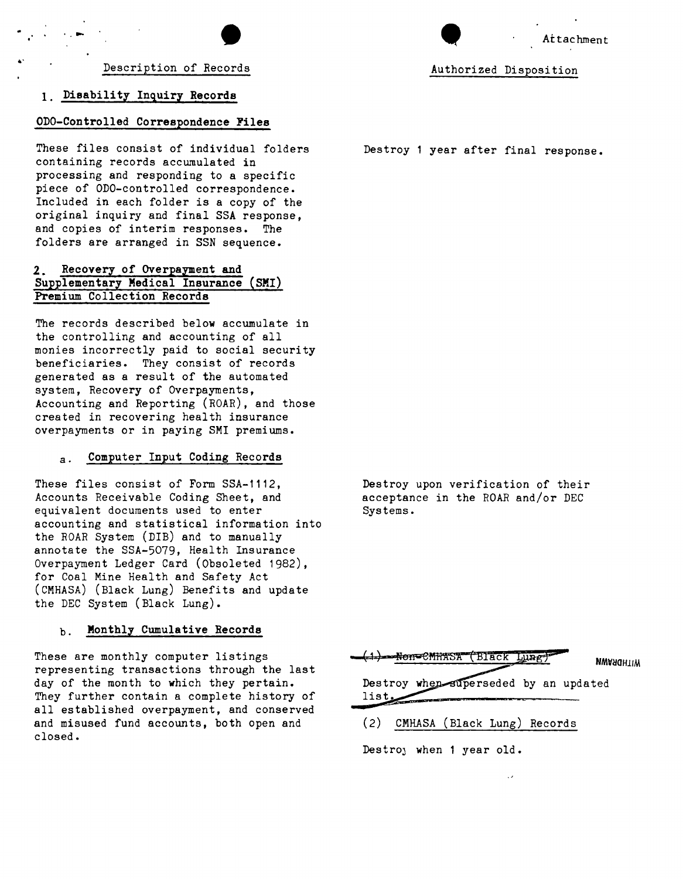# 1. Disability Inquiry Records

...

#### ODO-Controlled Correspondence Files

These files consist of individual folders containing records accumulated in processing and responding to a specific piece of ODO-controlled correspondence. Included in each folder is a copy of the original inquiry and final SSA response, and copies of interim responses. The folders are arranged in SSN sequence.

# 2. Recovery of Overpayment and Supplementary Medical Insurance (SMI) Premium Collection Records

The records described below accumulate in the controlling and accounting of all monies incorrectly paid to social security beneficiaries. They consist of records generated as a result of the automated system, Recovery of Overpayments, Accounting and Reporting (ROAR), and those created in recovering health insurance overpayments or in paying SMI premiums.

# a. Computer Input Coding Records

These files consist of Form SSA-1112, Accounts Receivable Coding Sheet, and equivalent documents used to enter accounting and statistical information into the ROAR System (DIB) and to manually annotate the SSA-5079, Health Insurance Overpayment Ledger Card (Obsoleted 1982), for Coal Mine Health and Safety Act (CMHASA) (Black Lung) Benefits and update the DEC System (Black Lung).

# b. Monthly Cumulative Records

These are monthly computer listings representing transactions through the last day of the month to which they pertain. They further contain a complete history of all established overpayment, and conserved and misused fund accounts, both open and closed.

end and the Attacks of Attacks and Attacks and Attacks and Attacks and Attacks and Attacks and Attacks and Attacks and Attacks and Attacks and Attacks and Attacks and Attacks and Attacks and Attacks and Attacks and Attacks

Destroy 1 year after final response.

Destroy upon verification of their acceptance in the ROAR and/or DEC Systems.



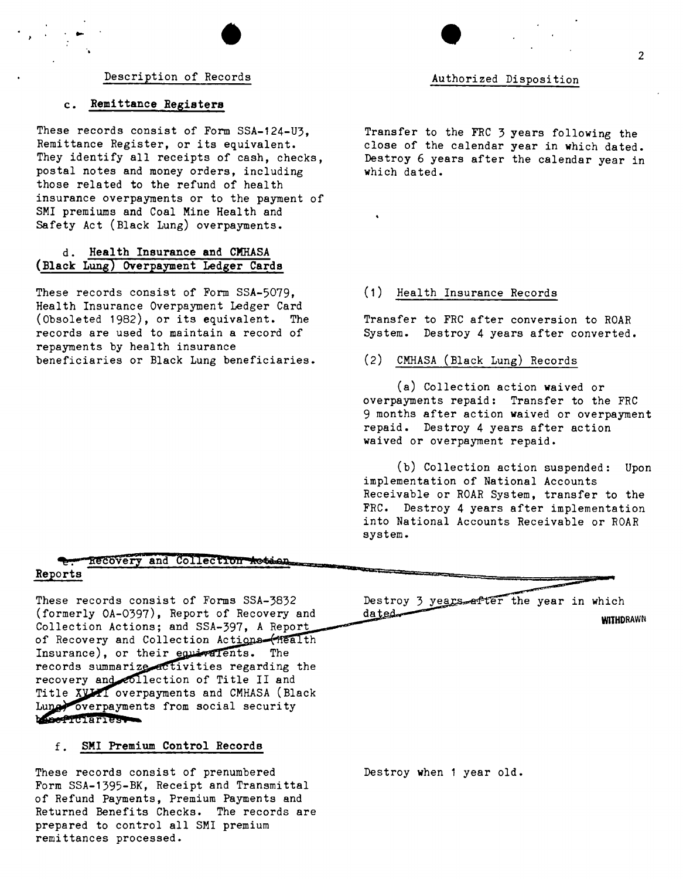# $\bullet$ Description of Records

# c. Remittance Registers

These records consist of Form SSA-124-U3, Remittance Register, or its equivalent. They identify all receipts of cash, checks. postal notes and money orders, including those related to the refund of health insurance overpayments or to the payment of SMI premiums and Coal Mine Health and Safety Act (Black Lung) overpayments.

# d. Health Insurance and CMHASA (Black Lung) Overpayment Ledger Cards

These records consist of Form SSA-5079, Health Insurance Overpayment Ledger Card (Obsoleted 1982), or its equivalent. The records are used to maintain a record of repayments by health insurance beneficiaries or Black Lung beneficiaries.

Authorized Disposition

Transfer to the FRC 3 years following the close of the calendar year in which dated. Destroy 6 years after the calendar year in which dated.

#### (1) Health Insurance Records

Transfer to FRC after conversion to ROAR System. Destroy 4 years after converted.

#### (2) CMHASA (Black Lung) Records

(a) Collection action waived or overpayments repaid: Transfer to the FRC 9 months after action waived or overpayment repaid. Destroy 4 years after action waived or overpayment repaid.

(b) Collection action suspended: Upon implementation of National Accounts Receivable or ROAR System, transfer to the FRC. Destroy 4 years after implementation into National Accounts Receivable or ROAR system.

# hecovery and Collection Action

#### Reports

These records consist of Forms SSA-3832 (formerly OA-0397), Report of Recovery and Collection Actions; and SSA-397, A Report of Recovery and Collection Actions (Health Insurance), or their equivalents. The records summarize activities regarding the recovery and collection of Title II and Title XVII overpayments and CMHASA (Black Luna overpayments from social security boseficiaries

# f. SMI Premium Control Records

These records consist of prenumbered Form SSA-1395-BK, Receipt and Transmittal of Refund Payments, Premium Payments and Returned Benefits Checks. The records are prepared to control all SMI premium remittances processed.

Destroy 3 years after the year in which dated

**WITHDRAWN** 

Destroy when 1 year old.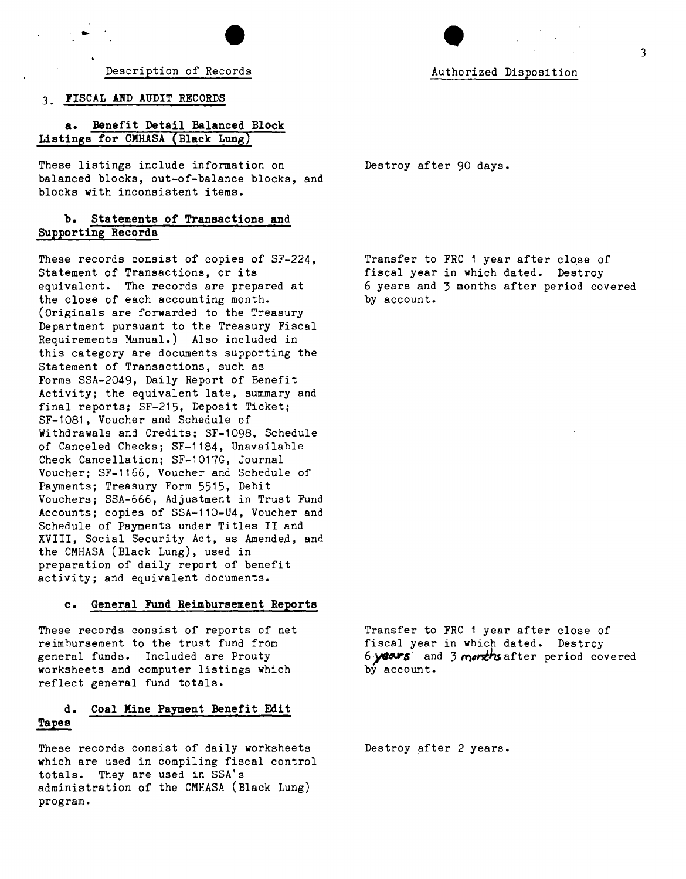Description of Records

#### 3. FISCAL AND AUDIT RECORDS

a. Benefit Detail Balanced Block Listings for CMHASA (Black Lung)

These listings include information on balanced blocks, out-of-balance blocks, and blocks with inconsistent items.

# b. Statements of Transactions and Supporting Recorda

These records consist of copies of SF-224, Statement of Transactions, or its equivalent. The records are prepared at the close of each accounting month. (Originals are forwarded to the Treasury Department pursuant to the Treasury Fiscal Requirements Manual.) Also included in this category are documents supporting the Statement of Transactions, such as Forms SSA-2049, Daily Report of Benefit Activity; the equivalent late, summary and final reports; SF-215, Deposit Ticket; SF-1081, Voucher and Schedule of Withdrawals and Credits; SF-1098, Schedule of Canceled Checks; SF-1184, Unavailable Check Cancellation; SF-1017G, Journal Voucher; SF-1166, Voucher and Schedule of Payments; Treasury Form 5515, Debit Vouchers; SSA-666, Adjustment in Trust Fund Accounts; copies of SSA-110-U4, Voucher and Schedule of Payments under Titles II and XVIII, Social Security Act, as Amended, and the CMHASA (Black Lung), used in preparation of daily report of benefit activity; and equivalent documents.

#### c. General Fund Reimbursement Reports

These records consist of reports of net reimbursement to the trust fund from general funds. Included are Prouty worksheets and computer listings which reflect general fund totals.

# d. Coal Mine Payment Benefit Edit Tapes

These records consist of daily worksheets which are used in compiling fiscal control totals. They are used in SSA's administration of the CMHASA (Black Lung) program.

Destroy after 90 days.

Transfer to FRC 1 year after close of fiscal year in which dated. Destroy 6 years and 3 months after period covered by account.

Transfer to FRC 1 year after close of fiscal year in which dated. Destroy 6 years and 3 *months* after period covered by account.

Destroy after 2 years.

Authorized Disposition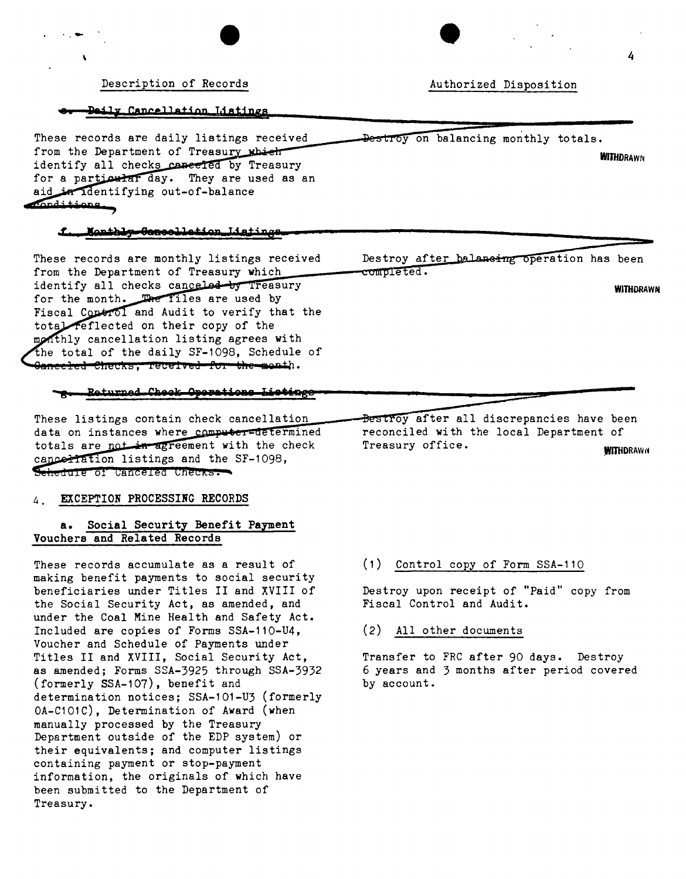Daily Cancellation Listings

· .-

\

These records are daily listings received from the Department of Treasury which identify all checks canceled by Treasury for a particular day. They are used as an aid in identifying out-of-balance

#### f Monthly-Gancellation Ligtings

These records are monthly listings received from the Department of Treasury which identify all checks canceled by Treasury for the month. The files are used by<br>Fiscal Control and Audit to verify that the total reflected on their copy of the monthly cancellation listing agrees with the total of the daily SF-1098. Schedule of <del>Ganceled Checks, Tecefved for the mont</del>h.

#### Returned Check Operations Listings

These listings contain check cancellation data on instances where computer=determined totals are not in agreement with the check canceriation listings and the SF-1098, Schedule of Canceled Checks.

#### 4. EXCEPTION PROCESSING RECORDS

# **a.** Social Security Benefit Payment Vouchers and Related Records

These records accumulate as a result of making benefit payments to social security beneficiaries under Titles II and XVIII of the Social Security Act, as amended, and under the Coal Mine Health and Safety Act. Included are copies of Forms SSA-110-U4, Voucher and Schedule of Payments under Titles II and XVIII, Social Security Act, as amended; Forms SSA-3925 through SSA-3932 (formerly SSA-107) , benefit and determination notices; SSA-101-U3 (formerly OA-C101C), Determination of Award (when manually processed by the Treasury Department outside of the EDP system) or their equivalents; and computer listings containing payment or stop-payment information, the originals of which have been submitted to the Department of Treasury.

Destroy after balansing operation has been completed.

WITHDRAWN

4

**WITHDRAWN** 

Bestroy after all discrepancies have been reconciled with the local Department of Treasury office. WITHDRAWN

# (1) Control copy of Form SSA-110

Destroy upon receipt of "Paid" copy from Fiscal Control and Audit.

#### (2) All other documents

Transfer to FRC after 90 days. Destroy 6 years and 3 months after period covered by account.

Authorized Disposition

Destroy on balancing monthly totals.